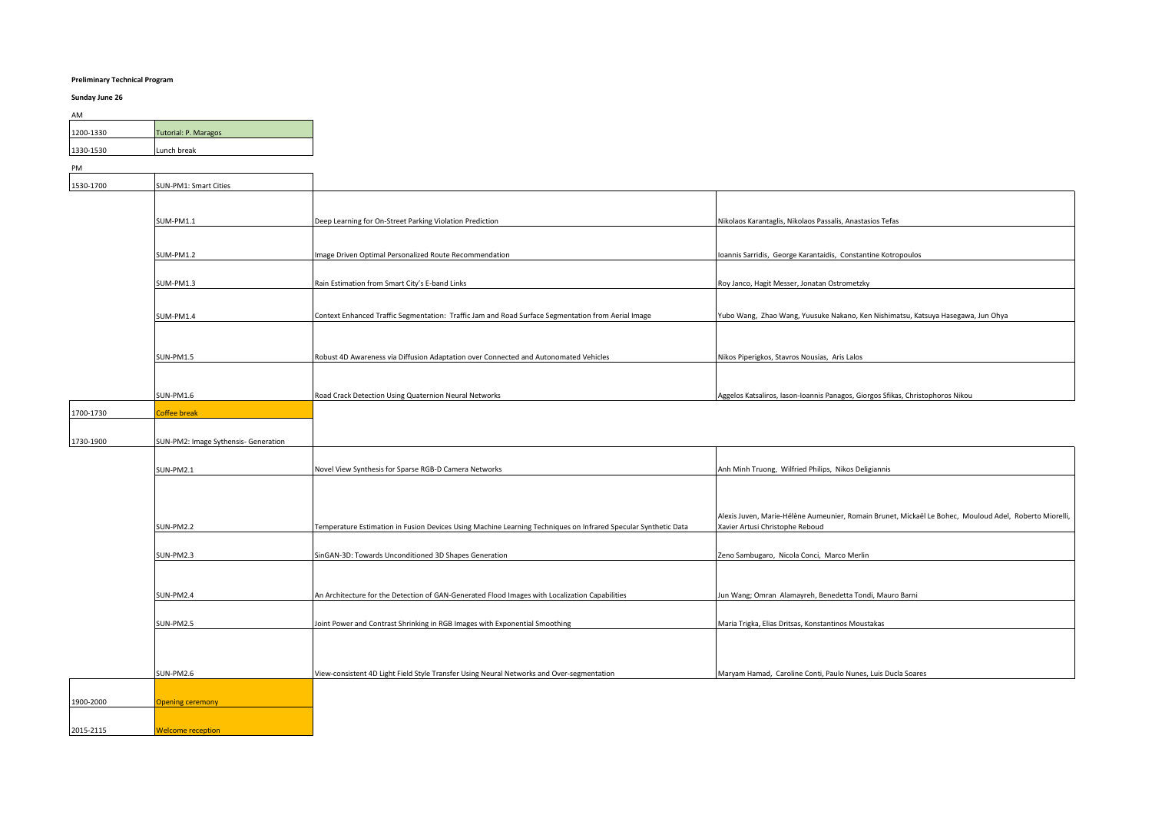## **Preliminary Technical Program**

# **Sunday June 26**

| AM        |                             |  |
|-----------|-----------------------------|--|
| 1200-1330 | <b>Tutorial: P. Maragos</b> |  |
| 1330-1530 | Lunch break                 |  |

H.

PM

1530-1700

| 1530-1700 | SUN-PM1: Smart Cities |                                                                                                    |                                                                                  |
|-----------|-----------------------|----------------------------------------------------------------------------------------------------|----------------------------------------------------------------------------------|
|           |                       |                                                                                                    |                                                                                  |
|           | SUM-PM1.1             | Deep Learning for On-Street Parking Violation Prediction                                           | Nikolaos Karantaglis, Nikolaos Passalis, Anastasios Tefas                        |
|           |                       |                                                                                                    |                                                                                  |
|           | SUM-PM1.2             | Image Driven Optimal Personalized Route Recommendation                                             | Ioannis Sarridis, George Karantaidis, Constantine Kotropoulos                    |
|           |                       |                                                                                                    |                                                                                  |
|           | SUM-PM1.3             | Rain Estimation from Smart City's E-band Links                                                     | Roy Janco, Hagit Messer, Jonatan Ostrometzky                                     |
|           |                       |                                                                                                    |                                                                                  |
|           | SUM-PM1.4             | Context Enhanced Traffic Segmentation: Traffic Jam and Road Surface Segmentation from Aerial Image | Yubo Wang, Zhao Wang, Yuusuke Nakano, Ken Nishimatsu, Katsuya Hasegawa, Jun Ohya |
|           |                       |                                                                                                    |                                                                                  |
|           |                       |                                                                                                    |                                                                                  |
|           | <b>SUN-PM1.5</b>      | Robust 4D Awareness via Diffusion Adaptation over Connected and Autonomated Vehicles               | Nikos Piperigkos, Stavros Nousias, Aris Lalos                                    |
|           |                       |                                                                                                    |                                                                                  |
|           | SUN-PM1.6             | Road Crack Detection Using Quaternion Neural Networks                                              | Aggelos Katsaliros, Iason-Ioannis Panagos, Giorgos Sfikas, Christophoros Nikou   |
| 1700-1730 | <b>Coffee break</b>   |                                                                                                    |                                                                                  |

| 1730-1900 | SUN-PM2: Image Sythensis- Generation |
|-----------|--------------------------------------|
|           |                                      |

| SUN-PM2.1 |                         | Novel View Synthesis for Sparse RGB-D Camera Networks                                                          | Anh Minh Truong, Wilfried Philips, Nikos Deligiannis                                                                                      |
|-----------|-------------------------|----------------------------------------------------------------------------------------------------------------|-------------------------------------------------------------------------------------------------------------------------------------------|
|           |                         |                                                                                                                |                                                                                                                                           |
|           |                         |                                                                                                                |                                                                                                                                           |
| SUN-PM2.2 |                         | Temperature Estimation in Fusion Devices Using Machine Learning Techniques on Infrared Specular Synthetic Data | Alexis Juven, Marie-Hélène Aumeunier, Romain Brunet, Mickaël Le Bohec, Mouloud Adel, Roberto Miorelli,<br>Xavier Artusi Christophe Reboud |
|           |                         |                                                                                                                |                                                                                                                                           |
| SUN-PM2.3 |                         | SinGAN-3D: Towards Unconditioned 3D Shapes Generation                                                          | Zeno Sambugaro, Nicola Conci, Marco Merlin                                                                                                |
|           |                         |                                                                                                                |                                                                                                                                           |
| SUN-PM2.4 |                         | An Architecture for the Detection of GAN-Generated Flood Images with Localization Capabilities                 | Jun Wang; Omran Alamayreh, Benedetta Tondi, Mauro Barni                                                                                   |
| SUN-PM2.5 |                         | Joint Power and Contrast Shrinking in RGB Images with Exponential Smoothing                                    | Maria Trigka, Elias Dritsas, Konstantinos Moustakas                                                                                       |
|           |                         |                                                                                                                |                                                                                                                                           |
|           |                         |                                                                                                                |                                                                                                                                           |
| SUN-PM2.6 |                         | View-consistent 4D Light Field Style Transfer Using Neural Networks and Over-segmentation                      | Maryam Hamad, Caroline Conti, Paulo Nunes, Luis Ducla Soares                                                                              |
|           |                         |                                                                                                                |                                                                                                                                           |
| 1900-2000 | <b>Opening ceremony</b> |                                                                                                                |                                                                                                                                           |

2015-2115 Welcome reception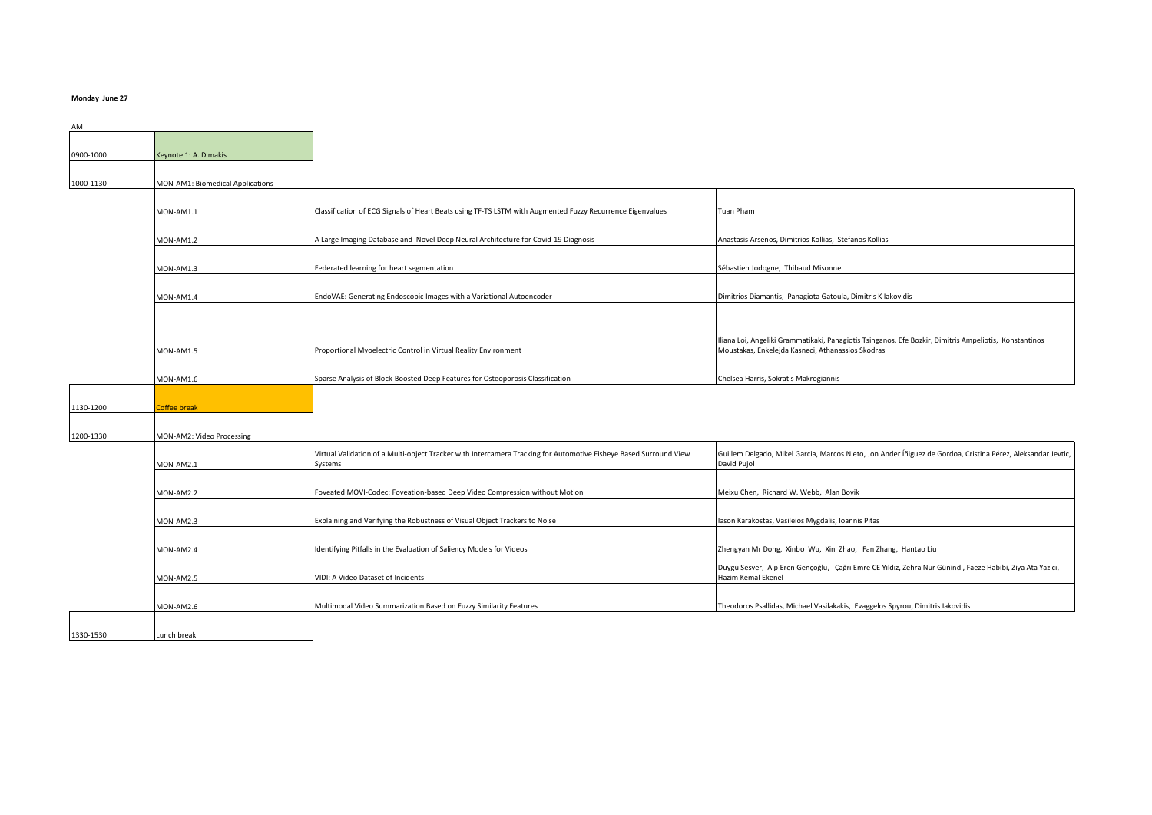### **Monday June 27**

| AM        |                                  |                                                                                                                              |                                                                                                                                                             |
|-----------|----------------------------------|------------------------------------------------------------------------------------------------------------------------------|-------------------------------------------------------------------------------------------------------------------------------------------------------------|
| 0900-1000 | Keynote 1: A. Dimakis            |                                                                                                                              |                                                                                                                                                             |
| 1000-1130 | MON-AM1: Biomedical Applications |                                                                                                                              |                                                                                                                                                             |
|           |                                  |                                                                                                                              |                                                                                                                                                             |
|           | MON-AM1.1                        | Classification of ECG Signals of Heart Beats using TF-TS LSTM with Augmented Fuzzy Recurrence Eigenvalues                    | Tuan Pham                                                                                                                                                   |
|           | MON-AM1.2                        | A Large Imaging Database and Novel Deep Neural Architecture for Covid-19 Diagnosis                                           | Anastasis Arsenos, Dimitrios Kollias, Stefanos Kollias                                                                                                      |
|           | MON-AM1.3                        | Federated learning for heart segmentation                                                                                    | Sébastien Jodogne, Thibaud Misonne                                                                                                                          |
|           |                                  |                                                                                                                              |                                                                                                                                                             |
|           | MON-AM1.4                        | EndoVAE: Generating Endoscopic Images with a Variational Autoencoder                                                         | Dimitrios Diamantis, Panagiota Gatoula, Dimitris K lakovidis                                                                                                |
|           |                                  |                                                                                                                              |                                                                                                                                                             |
|           | MON-AM1.5                        | Proportional Myoelectric Control in Virtual Reality Environment                                                              | Iliana Loi, Angeliki Grammatikaki, Panagiotis Tsinganos, Efe Bozkir, Dimitris Ampeliotis, Konstantinos<br>Moustakas, Enkelejda Kasneci, Athanassios Skodras |
|           | MON-AM1.6                        | Sparse Analysis of Block-Boosted Deep Features for Osteoporosis Classification                                               | Chelsea Harris, Sokratis Makrogiannis                                                                                                                       |
| 1130-1200 | Coffee break                     |                                                                                                                              |                                                                                                                                                             |
|           |                                  |                                                                                                                              |                                                                                                                                                             |
| 1200-1330 | MON-AM2: Video Processing        |                                                                                                                              |                                                                                                                                                             |
|           | MON-AM2.1                        | Virtual Validation of a Multi-object Tracker with Intercamera Tracking for Automotive Fisheye Based Surround View<br>Systems | Guillem Delgado, Mikel Garcia, Marcos Nieto, Jon Ander Íñiguez de Gordoa, Cristina Pérez, Aleksandar Jevtic,<br>David Pujol                                 |
|           | MON-AM2.2                        | Foveated MOVI-Codec: Foveation-based Deep Video Compression without Motion                                                   | Meixu Chen, Richard W. Webb, Alan Bovik                                                                                                                     |
|           |                                  |                                                                                                                              |                                                                                                                                                             |
|           | MON-AM2.3                        | Explaining and Verifying the Robustness of Visual Object Trackers to Noise                                                   | ason Karakostas, Vasileios Mygdalis, Ioannis Pitas                                                                                                          |
|           | MON-AM2.4                        | Identifying Pitfalls in the Evaluation of Saliency Models for Videos                                                         | Zhengyan Mr Dong, Xinbo Wu, Xin Zhao, Fan Zhang, Hantao Liu                                                                                                 |
|           | MON-AM2.5                        | VIDI: A Video Dataset of Incidents                                                                                           | Duygu Sesver, Alp Eren Gençoğlu, Çağrı Emre CE Yıldız, Zehra Nur Günindi, Faeze Habibi, Ziya Ata Yazıcı,<br>Hazim Kemal Ekenel                              |
|           | MON-AM2.6                        | Multimodal Video Summarization Based on Fuzzy Similarity Features                                                            | Theodoros Psallidas, Michael Vasilakakis, Evaggelos Spyrou, Dimitris Iakovidis                                                                              |
| 1330-1530 | Lunch break                      |                                                                                                                              |                                                                                                                                                             |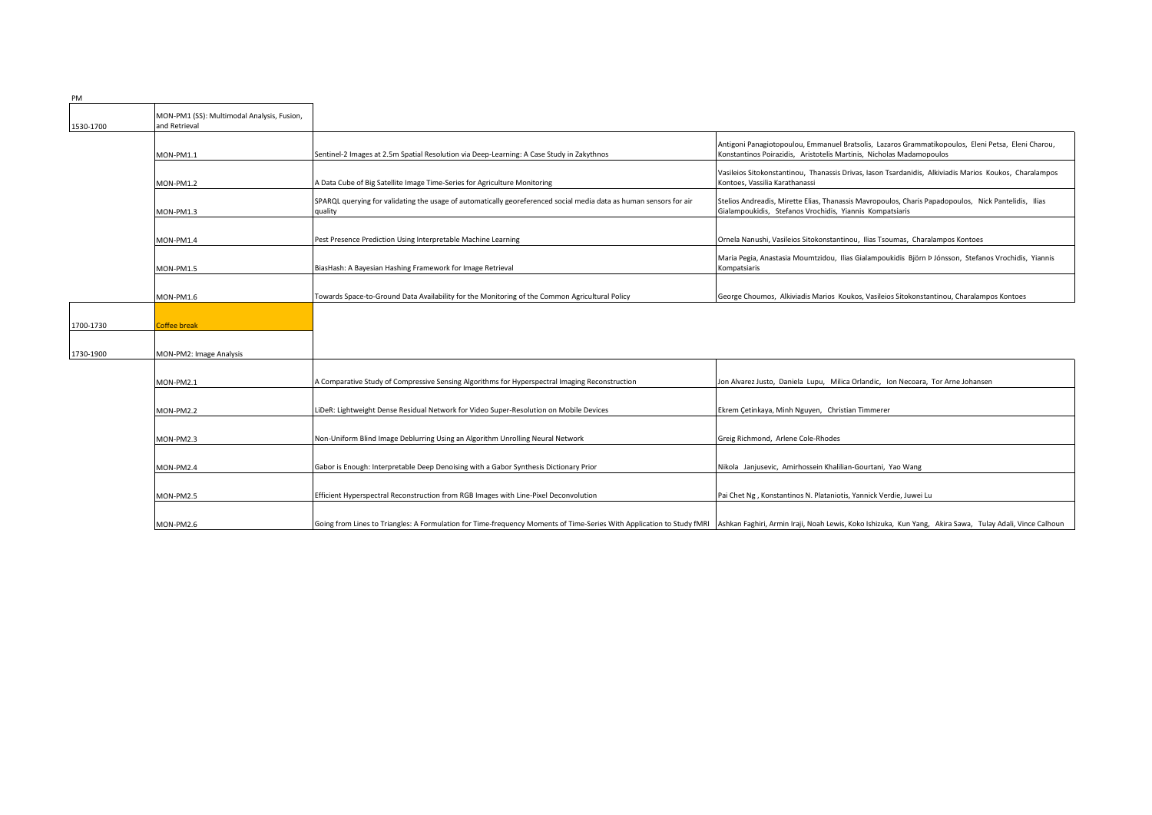| PM        |                                                             |                                                                                                                                                                                                                                |                                                                                                                                                                            |
|-----------|-------------------------------------------------------------|--------------------------------------------------------------------------------------------------------------------------------------------------------------------------------------------------------------------------------|----------------------------------------------------------------------------------------------------------------------------------------------------------------------------|
| 1530-1700 | MON-PM1 (SS): Multimodal Analysis, Fusion,<br>and Retrieval |                                                                                                                                                                                                                                |                                                                                                                                                                            |
|           | MON-PM1.1                                                   | Sentinel-2 Images at 2.5m Spatial Resolution via Deep-Learning: A Case Study in Zakythnos                                                                                                                                      | Antigoni Panagiotopoulou, Emmanuel Bratsolis, Lazaros Grammatikopoulos, Eleni Petsa, Eleni Charou,<br>Konstantinos Poirazidis, Aristotelis Martinis, Nicholas Madamopoulos |
|           | MON-PM1.2                                                   | A Data Cube of Big Satellite Image Time-Series for Agriculture Monitoring                                                                                                                                                      | Vasileios Sitokonstantinou, Thanassis Drivas, Iason Tsardanidis, Alkiviadis Marios Koukos, Charalampos<br>Kontoes, Vassilia Karathanassi                                   |
|           | MON-PM1.3                                                   | SPARQL querying for validating the usage of automatically georeferenced social media data as human sensors for air<br>quality                                                                                                  | Stelios Andreadis, Mirette Elias, Thanassis Mavropoulos, Charis Papadopoulos, Nick Pantelidis, Ilias<br>Gialampoukidis, Stefanos Vrochidis, Yiannis Kompatsiaris           |
|           | MON-PM1.4                                                   | Pest Presence Prediction Using Interpretable Machine Learning                                                                                                                                                                  | Ornela Nanushi, Vasileios Sitokonstantinou, Ilias Tsoumas, Charalampos Kontoes                                                                                             |
|           | MON-PM1.5                                                   | BiasHash: A Bayesian Hashing Framework for Image Retrieval                                                                                                                                                                     | Maria Pegia, Anastasia Moumtzidou, Ilias Gialampoukidis Björn ÞJónsson, Stefanos Vrochidis, Yiannis<br>Kompatsiaris                                                        |
|           | MON-PM1.6                                                   | Towards Space-to-Ground Data Availability for the Monitoring of the Common Agricultural Policy                                                                                                                                 | George Choumos, Alkiviadis Marios Koukos, Vasileios Sitokonstantinou, Charalampos Kontoes                                                                                  |
| 1700-1730 | <b>Coffee break</b>                                         |                                                                                                                                                                                                                                |                                                                                                                                                                            |
| 1730-1900 | MON-PM2: Image Analysis                                     |                                                                                                                                                                                                                                |                                                                                                                                                                            |
|           | MON-PM2.1                                                   | A Comparative Study of Compressive Sensing Algorithms for Hyperspectral Imaging Reconstruction                                                                                                                                 | Jon Alvarez Justo, Daniela Lupu, Milica Orlandic, Ion Necoara, Tor Arne Johansen                                                                                           |
|           | MON-PM2.2                                                   | LiDeR: Lightweight Dense Residual Network for Video Super-Resolution on Mobile Devices                                                                                                                                         | Ekrem Çetinkaya, Minh Nguyen, Christian Timmerer                                                                                                                           |
|           | MON-PM2.3                                                   | Non-Uniform Blind Image Deblurring Using an Algorithm Unrolling Neural Network                                                                                                                                                 | Greig Richmond, Arlene Cole-Rhodes                                                                                                                                         |
|           | MON-PM2.4                                                   | Gabor is Enough: Interpretable Deep Denoising with a Gabor Synthesis Dictionary Prior                                                                                                                                          | Nikola Janjusevic, Amirhossein Khalilian-Gourtani, Yao Wang                                                                                                                |
|           | MON-PM2.5                                                   | Efficient Hyperspectral Reconstruction from RGB Images with Line-Pixel Deconvolution                                                                                                                                           | Pai Chet Ng, Konstantinos N. Plataniotis, Yannick Verdie, Juwei Lu                                                                                                         |
|           | MON-PM2.6                                                   | Going from Lines to Triangles: A Formulation for Time-frequency Moments of Time-Series With Application to Study fMRI Ashkan Faghiri, Armin Iraji, Noah Lewis, Koko Ishizuka, Kun Yang, Akira Sawa, Tulay Adali, Vince Calhoun |                                                                                                                                                                            |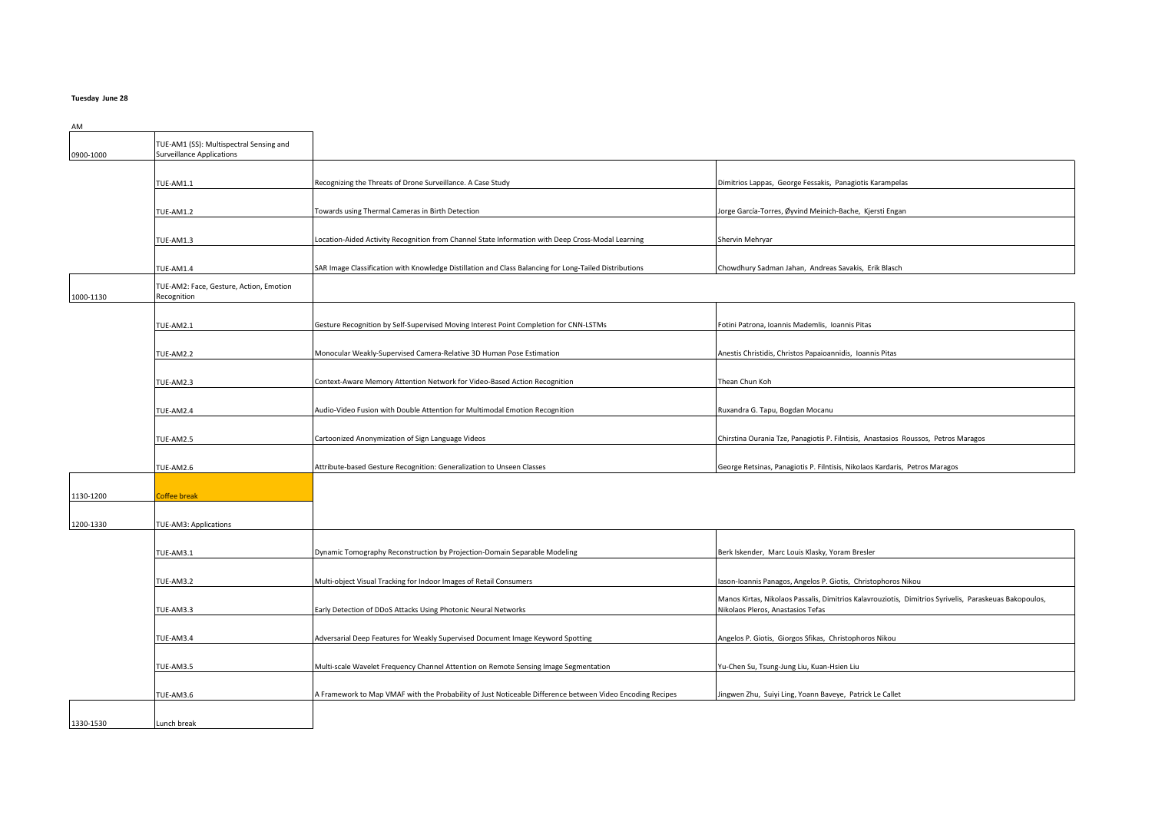#### **Tuesday June 28**

0900-1000 TUE-AM1 (SS): Multispectral Sensing and Surveillance Applications TUE-AM1.1 **Recognizing the Threats of Drone Surveillance. A Case Study Dimitrios Lappas, George Fessakis, Panagiotis Karampelas** TUE-AM1.2 **Towards using Thermal Cameras in Birth Detection** Jorge García-Torres, Øyvind Meinich-Bache, Kjersti Engan TUE-AM1.3 **Location-Aided Activity Recognition from Channel State Information with Deep Cross-Modal Learning** Shervin Mehryar TUE-AM1.4 SAR Image Classification with Knowledge Distillation and Class Balancing for Long-Tailed Distributions Chowdhury Sadman Jahan, Andreas Savakis, Erik Blasch 1000-1130 TUE-AM2: Face, Gesture, Action, Emotion Recognition TUE-AM2.1 **Gesture Recognition by Self-Supervised Moving Interest Point Completion for CNN-LSTMs** Fotini Patrona, Ioannis Mademlis, Ioannis Pitas TUE-AM2.2 **Monocular Weakly-Supervised Camera-Relative 3D Human Pose Estimation** Anestis Christidis, Christos Papaioannidis, Ioannis Pitas TUE-AM2.3 **Context-Aware Memory Attention Network for Video-Based Action Recognition** Thean Chun Koh TUE-AM2.4 Audio-Video Fusion with Double Attention for Multimodal Emotion Recognition Ruxandra G. Tapu, Bogdan Mocanu TUE-AM2.5 Cartoonized Anonymization of Sign Language Videos Chirstina Curania Tze, Panagiotis P. Filntisis, Anastasios Roussos, Petros Maragos TUE-AM2.6 **Attribute-based Gesture Recognition: Generalization to Unseen Classes** George Retsinas, Panagiotis P. Filntisis, Nikolaos Kardaris, Petros Maragos 1130-1200 Coffee break 1200-1330 TUE-AM3: Applications TUE-AM3.1 **Example 20 Tomography Reconstruction by Projection-Domain Separable Modeling** Berk Iskender, Marc Louis Klasky, Yoram Bresler TUE-AM3.2 **Multi-object Visual Tracking for Indoor Images of Retail Consumers Interventional Consumers Iason-Ioannis Panagos, Angelos P. Giotis, Christophoros Nikou** TUE-AM3.3 Early Detection of DDoS Attacks Using Photonic Neural Networks Manos Kirtas, Nikolaos Passalis, Dimitrios Kalavrouziotis, Dimitrios Syrivelis, Paraskeuas Bakopoulos, Nikolaos Pleros, Anastasios Tefas TUE-AM3.4 **Adversarial Deep Features for Weakly Supervised Document Image Keyword Spotting Angelos P. Giotis, Giorgos Sfikas, Christophoros Nikou** TUE-AM3.5 Multi-scale Wavelet Frequency Channel Attention on Remote Sensing Image Segmentation Vu-Chen Su, Tsung-Jung Liu, Kuan-Hsien Liu TUE-AM3.6 A Framework to Map VMAF with the Probability of Just Noticeable Difference between Video Encoding Recipes Jingwen Zhu, Suiyi Ling, Yoann Baveye, Patrick Le Callet 1330-1530 Lunch break

AM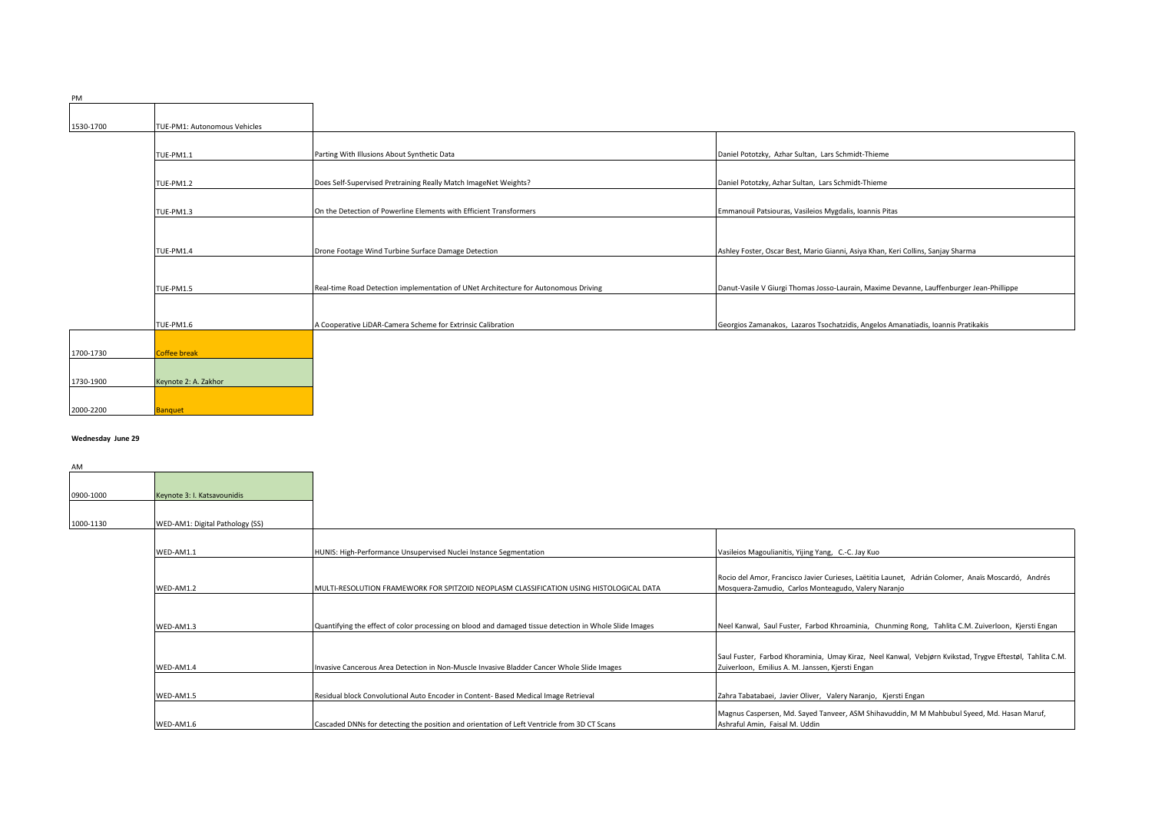| 1530-1700 | TUE-PM1: Autonomous Vehicles |                                                                                     |                                                                                          |
|-----------|------------------------------|-------------------------------------------------------------------------------------|------------------------------------------------------------------------------------------|
|           |                              |                                                                                     |                                                                                          |
|           | <b>TUE-PM1.1</b>             | Parting With Illusions About Synthetic Data                                         | Daniel Pototzky, Azhar Sultan, Lars Schmidt-Thieme                                       |
|           |                              |                                                                                     |                                                                                          |
|           | <b>TUE-PM1.2</b>             | Does Self-Supervised Pretraining Really Match ImageNet Weights?                     | Daniel Pototzky, Azhar Sultan, Lars Schmidt-Thieme                                       |
|           |                              |                                                                                     |                                                                                          |
|           | TUE-PM1.3                    | On the Detection of Powerline Elements with Efficient Transformers                  | Emmanouil Patsiouras, Vasileios Mygdalis, Ioannis Pitas                                  |
|           |                              |                                                                                     |                                                                                          |
|           |                              |                                                                                     |                                                                                          |
|           | TUE-PM1.4                    | Drone Footage Wind Turbine Surface Damage Detection                                 | Ashley Foster, Oscar Best, Mario Gianni, Asiya Khan, Keri Collins, Sanjay Sharma         |
|           |                              |                                                                                     |                                                                                          |
|           | TUE-PM1.5                    | Real-time Road Detection implementation of UNet Architecture for Autonomous Driving | Danut-Vasile V Giurgi Thomas Josso-Laurain, Maxime Devanne, Lauffenburger Jean-Phillippe |
|           |                              |                                                                                     |                                                                                          |
|           |                              |                                                                                     |                                                                                          |
|           | TUE-PM1.6                    | A Cooperative LiDAR-Camera Scheme for Extrinsic Calibration                         | Georgios Zamanakos, Lazaros Tsochatzidis, Angelos Amanatiadis, Ioannis Pratikakis        |
|           |                              |                                                                                     |                                                                                          |
| 1700-1730 | <b>Coffee break</b>          |                                                                                     |                                                                                          |
|           |                              |                                                                                     |                                                                                          |
| 1730-1900 | Keynote 2: A. Zakhor         |                                                                                     |                                                                                          |

# **Wednesday June 29**

2000-2200 Banquet

PM

| AM        |                                 |                                                                                                        |                                                                                                                                                           |
|-----------|---------------------------------|--------------------------------------------------------------------------------------------------------|-----------------------------------------------------------------------------------------------------------------------------------------------------------|
|           |                                 |                                                                                                        |                                                                                                                                                           |
| 0900-1000 | Keynote 3: I. Katsavounidis     |                                                                                                        |                                                                                                                                                           |
|           |                                 |                                                                                                        |                                                                                                                                                           |
| 1000-1130 | WED-AM1: Digital Pathology (SS) |                                                                                                        |                                                                                                                                                           |
|           |                                 |                                                                                                        |                                                                                                                                                           |
|           | WED-AM1.1                       | HUNIS: High-Performance Unsupervised Nuclei Instance Segmentation                                      | Vasileios Magoulianitis, Yijing Yang, C.-C. Jay Kuo                                                                                                       |
|           |                                 |                                                                                                        |                                                                                                                                                           |
|           | WED-AM1.2                       | MULTI-RESOLUTION FRAMEWORK FOR SPITZOID NEOPLASM CLASSIFICATION USING HISTOLOGICAL DATA                | Rocio del Amor, Francisco Javier Curieses, Laëtitia Launet, Adrián Colomer, Anaïs Moscardó, Andrés<br>Mosquera-Zamudio, Carlos Monteagudo, Valery Naranjo |
|           |                                 |                                                                                                        |                                                                                                                                                           |
|           | WED-AM1.3                       | Quantifying the effect of color processing on blood and damaged tissue detection in Whole Slide Images | Neel Kanwal, Saul Fuster, Farbod Khroaminia, Chunming Rong, Tahlita C.M. Zuiverloon, Kjersti Engan                                                        |
|           |                                 |                                                                                                        |                                                                                                                                                           |
|           |                                 |                                                                                                        | Saul Fuster, Farbod Khoraminia, Umay Kiraz, Neel Kanwal, Vebjørn Kvikstad, Trygve Eftestøl, Tahlita C.M.                                                  |
|           | WED-AM1.4                       | Invasive Cancerous Area Detection in Non-Muscle Invasive Bladder Cancer Whole Slide Images             | Zuiverloon, Emilius A. M. Janssen, Kjersti Engan                                                                                                          |
|           |                                 |                                                                                                        |                                                                                                                                                           |
|           | WFD-AM1.5                       | Residual block Convolutional Auto Encoder in Content- Based Medical Image Retrieval                    | Zahra Tabatabaei, Javier Oliver, Valery Naranjo, Kjersti Engan                                                                                            |
|           |                                 |                                                                                                        | Magnus Caspersen, Md. Sayed Tanveer, ASM Shihavuddin, M M Mahbubul Syeed, Md. Hasan Maruf,                                                                |
|           | WED-AM1.6                       | Cascaded DNNs for detecting the position and orientation of Left Ventricle from 3D CT Scans            | Ashraful Amin, Faisal M. Uddin                                                                                                                            |